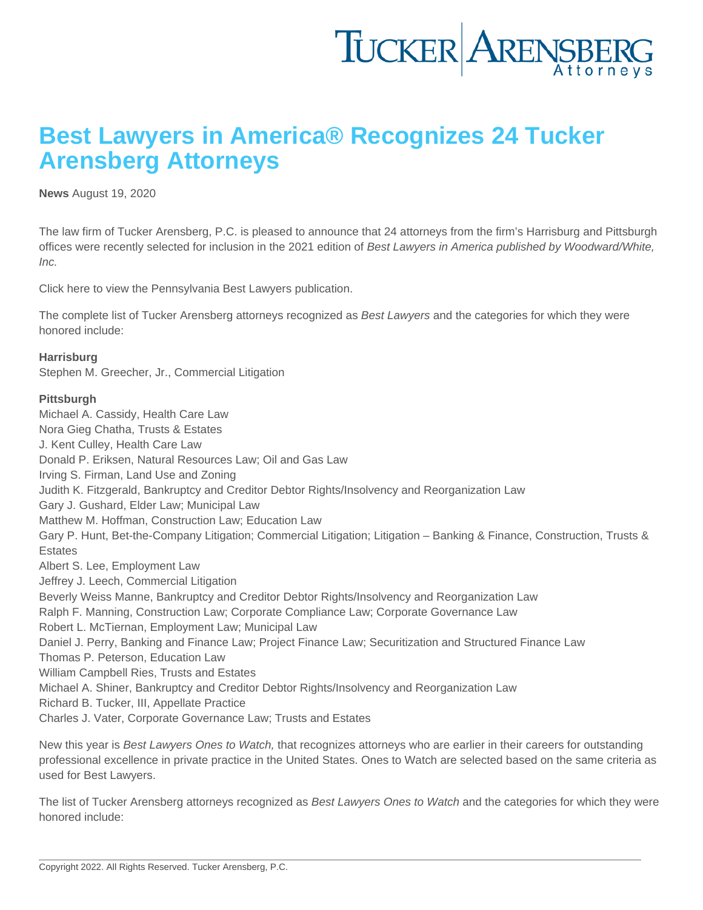## Best Lawyers in America® Recognizes 24 Tucker Arensberg Attorneys

[News](https://www.tuckerlaw.com/category/news/) August 19, 2020

The law firm of Tucker Arensberg, P.C. is pleased to announce that 24 attorneys from the firm's Harrisburg and Pittsburgh offices were recently selected for inclusion in the 2021 edition of Best Lawyers in America published by Woodward/White, Inc.

Click [here](https://linkprotect.cudasvc.com/url?a=https://www.bestlawyers.com/publications/pennsylvania&c=E,1,ifQN7jK51xAkaT6tOk4T8x1xvgv0Epys1RFXDAC6iHiJ0p35sj4BwdqFpEn1ByyNm4oXigZMhHNzQooSU3AMxbWFl0756tmSpcrWvgSzm7Rguw,,&typo=1) to view the Pennsylvania Best Lawyers publication.

The complete list of Tucker Arensberg attorneys recognized as Best Lawyers and the categories for which they were honored include:

**Harrisburg** [Stephen M. Greecher, Jr.,](https://www.tuckerlaw.com/people/stephen-m-greecher-jr/) Commercial Litigation

Pittsburgh [Michael A. Cassidy](https://www.tuckerlaw.com/people/michael-a-cassidy/), Health Care Law [Nora Gieg Chatha,](https://www.tuckerlaw.com/people/nora-gieg-chatha/) Trusts & Estates [J. Kent Culley,](https://www.tuckerlaw.com/people/j-kent-culley/) Health Care Law [Donald P. Eriksen](https://www.tuckerlaw.com/people/donald-p-eriksen/), Natural Resources Law; Oil and Gas Law [Irving S. Firman,](https://www.tuckerlaw.com/people/irving-s-firman/) Land Use and Zoning [Judith K. Fitzgerald,](https://www.tuckerlaw.com/people/honorable-ret-judith-k-fitzgerald/) Bankruptcy and Creditor Debtor Rights/Insolvency and Reorganization Law [Gary J. Gushard](https://www.tuckerlaw.com/people/gary-j-gushard/), Elder Law; Municipal Law [Matthew M. Hoffman,](https://www.tuckerlaw.com/people/matthew-m-hoffman/) Construction Law; Education Law [Gary P. Hunt,](https://www.tuckerlaw.com/people/gary-p-hunt/) Bet-the-Company Litigation; Commercial Litigation; Litigation – Banking & Finance, Construction, Trusts & **Estates** [Albert S. Lee,](https://www.tuckerlaw.com/people/albert-s-lee/) Employment Law [Jeffrey J. Leech,](https://www.tuckerlaw.com/people/jeffrey-j-leech/) Commercial Litigation [Beverly Weiss Manne,](https://www.tuckerlaw.com/people/beverly-weiss-manne/) Bankruptcy and Creditor Debtor Rights/Insolvency and Reorganization Law [Ralph F. Manning,](https://www.tuckerlaw.com/people/ralph-f-manning/) Construction Law; Corporate Compliance Law; Corporate Governance Law [Robert L. McTiernan](https://www.tuckerlaw.com/people/robert-l-mctiernan/), Employment Law; Municipal Law [Daniel J. Perry,](https://www.tuckerlaw.com/people/daniel-j-perry/) Banking and Finance Law; Project Finance Law; Securitization and Structured Finance Law [Thomas P. Peterson](https://www.tuckerlaw.com/people/thomas-p-peterson/), Education Law [William Campbell Ries](https://www.tuckerlaw.com/people/william-campbell-ries/), Trusts and Estates [Michael A. Shiner](https://www.tuckerlaw.com/people/michael-a-shiner/), Bankruptcy and Creditor Debtor Rights/Insolvency and Reorganization Law [Richard B. Tucker, III,](https://www.tuckerlaw.com/people/richard-b-tucker-iii/) Appellate Practice [Charles J. Vater,](https://www.tuckerlaw.com/people/charles-j-vater/) Corporate Governance Law; Trusts and Estates

New this year is Best Lawyers Ones to Watch, that recognizes attorneys who are earlier in their careers for outstanding professional excellence in private practice in the United States. Ones to Watch are selected based on the same criteria as used for Best Lawyers.

The list of Tucker Arensberg attorneys recognized as Best Lawyers Ones to Watch and the categories for which they were honored include: